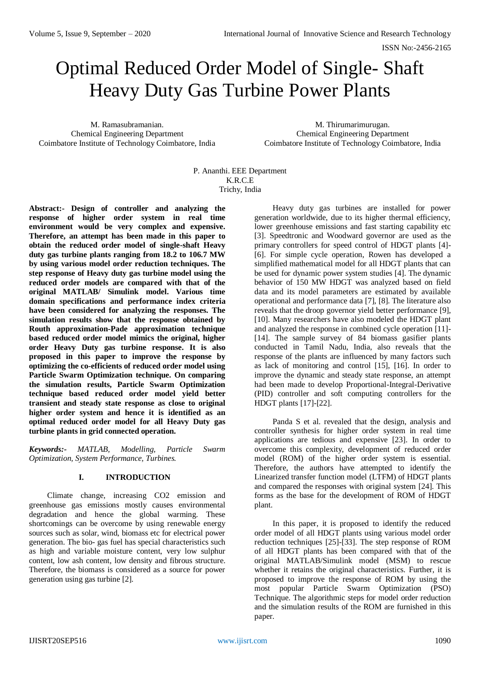# Optimal Reduced Order Model of Single- Shaft Heavy Duty Gas Turbine Power Plants

M. Ramasubramanian. Chemical Engineering Department Coimbatore Institute of Technology Coimbatore, India

M. Thirumarimurugan. Chemical Engineering Department Coimbatore Institute of Technology Coimbatore, India

P. Ananthi. EEE Department K.R.C.E Trichy, India

**Abstract:- Design of controller and analyzing the response of higher order system in real time environment would be very complex and expensive. Therefore, an attempt has been made in this paper to obtain the reduced order model of single-shaft Heavy duty gas turbine plants ranging from 18.2 to 106.7 MW by using various model order reduction techniques. The step response of Heavy duty gas turbine model using the reduced order models are compared with that of the original MATLAB/ Simulink model. Various time domain specifications and performance index criteria have been considered for analyzing the responses. The simulation results show that the response obtained by Routh approximation-Pade approximation technique based reduced order model mimics the original, higher order Heavy Duty gas turbine response. It is also proposed in this paper to improve the response by optimizing the co-efficients of reduced order model using Particle Swarm Optimization technique. On comparing the simulation results, Particle Swarm Optimization technique based reduced order model yield better transient and steady state response as close to original higher order system and hence it is identified as an optimal reduced order model for all Heavy Duty gas turbine plants in grid connected operation.**

*Keywords:- MATLAB, Modelling, Particle Swarm Optimization, System Performance, Turbines.*

# **I. INTRODUCTION**

Climate change, increasing CO2 emission and greenhouse gas emissions mostly causes environmental degradation and hence the global warming. These shortcomings can be overcome by using renewable energy sources such as solar, wind, biomass etc for electrical power generation. The bio- gas fuel has special characteristics such as high and variable moisture content, very low sulphur content, low ash content, low density and fibrous structure. Therefore, the biomass is considered as a source for power generation using gas turbine [2].

Heavy duty gas turbines are installed for power generation worldwide, due to its higher thermal efficiency, lower greenhouse emissions and fast starting capability etc [3]. Speedtronic and Woodward governor are used as the primary controllers for speed control of HDGT plants [4]- [6]. For simple cycle operation, Rowen has developed a simplified mathematical model for all HDGT plants that can be used for dynamic power system studies [4]. The dynamic behavior of 150 MW HDGT was analyzed based on field data and its model parameters are estimated by available operational and performance data [7], [8]. The literature also reveals that the droop governor yield better performance [9], [10]. Many researchers have also modeled the HDGT plant and analyzed the response in combined cycle operation [11]- [14]. The sample survey of 84 biomass gasifier plants conducted in Tamil Nadu, India, also reveals that the response of the plants are influenced by many factors such as lack of monitoring and control [15], [16]. In order to improve the dynamic and steady state response, an attempt had been made to develop Proportional-Integral-Derivative (PID) controller and soft computing controllers for the HDGT plants [17]-[22].

Panda S et al. revealed that the design, analysis and controller synthesis for higher order system in real time applications are tedious and expensive [23]. In order to overcome this complexity, development of reduced order model (ROM) of the higher order system is essential. Therefore, the authors have attempted to identify the Linearized transfer function model (LTFM) of HDGT plants and compared the responses with original system [24]. This forms as the base for the development of ROM of HDGT plant.

In this paper, it is proposed to identify the reduced order model of all HDGT plants using various model order reduction techniques [25]-[33]. The step response of ROM of all HDGT plants has been compared with that of the original MATLAB/Simulink model (MSM) to rescue whether it retains the original characteristics. Further, it is proposed to improve the response of ROM by using the most popular Particle Swarm Optimization (PSO) Technique. The algorithmic steps for model order reduction and the simulation results of the ROM are furnished in this paper.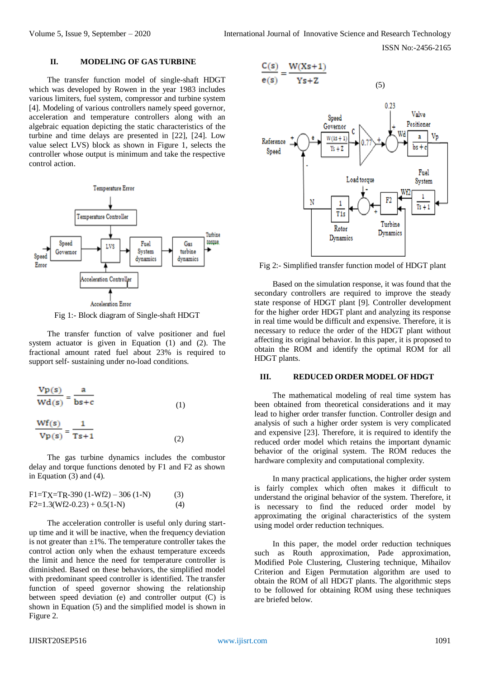## **II. MODELING OF GAS TURBINE**

The transfer function model of single-shaft HDGT which was developed by Rowen in the year 1983 includes various limiters, fuel system, compressor and turbine system [4]. Modeling of various controllers namely speed governor, acceleration and temperature controllers along with an algebraic equation depicting the static characteristics of the turbine and time delays are presented in [22], [24]. Low value select LVS) block as shown in Figure 1, selects the controller whose output is minimum and take the respective control action.



Fig 1:- Block diagram of Single-shaft HDGT

The transfer function of valve positioner and fuel system actuator is given in Equation (1) and (2). The fractional amount rated fuel about 23% is required to support self- sustaining under no-load conditions.

$$
\frac{\text{Vp}(s)}{\text{Wd}(s)} = \frac{a}{bs+c}
$$
\n(1)  
\n
$$
\frac{\text{Wf}(s)}{\text{Vp}(s)} = \frac{1}{Ts+1}
$$
\n(2)

The gas turbine dynamics includes the combustor delay and torque functions denoted by F1 and F2 as shown in Equation (3) and (4).

| $F1 = TX = TR - 390 (1 - Wf2) - 306 (1 - N)$ | (3) |
|----------------------------------------------|-----|
| $F2=1.3(Wf2-0.23)+0.5(1-N)$                  | (4) |

The acceleration controller is useful only during startup time and it will be inactive, when the frequency deviation is not greater than  $\pm 1\%$ . The temperature controller takes the control action only when the exhaust temperature exceeds the limit and hence the need for temperature controller is diminished. Based on these behaviors, the simplified model with predominant speed controller is identified. The transfer function of speed governor showing the relationship between speed deviation (e) and controller output (C) is shown in Equation (5) and the simplified model is shown in Figure 2.



Fig 2:- Simplified transfer function model of HDGT plant

Based on the simulation response, it was found that the secondary controllers are required to improve the steady state response of HDGT plant [9]. Controller development for the higher order HDGT plant and analyzing its response in real time would be difficult and expensive. Therefore, it is necessary to reduce the order of the HDGT plant without affecting its original behavior. In this paper, it is proposed to obtain the ROM and identify the optimal ROM for all HDGT plants.

#### **III. REDUCED ORDER MODEL OF HDGT**

The mathematical modeling of real time system has been obtained from theoretical considerations and it may lead to higher order transfer function. Controller design and analysis of such a higher order system is very complicated and expensive [23]. Therefore, it is required to identify the reduced order model which retains the important dynamic behavior of the original system. The ROM reduces the hardware complexity and computational complexity.

In many practical applications, the higher order system is fairly complex which often makes it difficult to understand the original behavior of the system. Therefore, it is necessary to find the reduced order model by approximating the original characteristics of the system using model order reduction techniques.

In this paper, the model order reduction techniques such as Routh approximation, Pade approximation, Modified Pole Clustering, Clustering technique, Mihailov Criterion and Eigen Permutation algorithm are used to obtain the ROM of all HDGT plants. The algorithmic steps to be followed for obtaining ROM using these techniques are briefed below.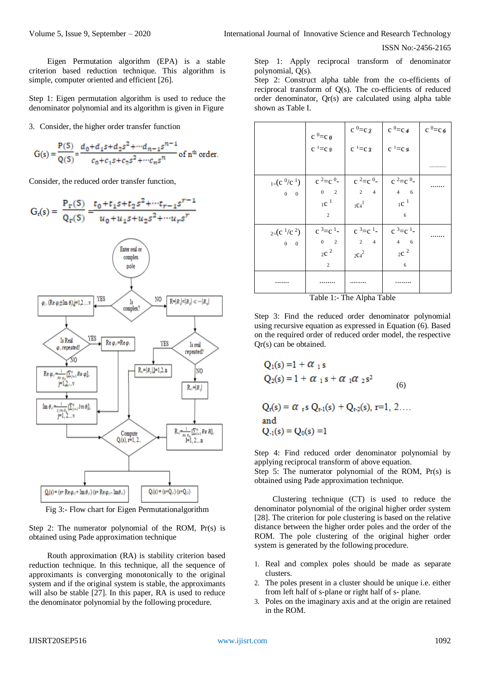Eigen Permutation algorithm (EPA) is a stable criterion based reduction technique. This algorithm is simple, computer oriented and efficient [26].

Step 1: Eigen permutation algorithm is used to reduce the denominator polynomial and its algorithm is given in Figure

3. Consider, the higher order transfer function

$$
G(s) = \frac{P(S)}{Q(S)} = \frac{d_0 + d_1 s + d_2 s^2 + \cdots + d_{n-1} s^{n-1}}{c_0 + c_1 s + c_2 s^2 + \cdots + c_n s^n} \text{ of } n^{\text{th}} \text{ order.}
$$

Consider, the reduced order transfer function,



Fig 3:- Flow chart for Eigen Permutationalgorithm

Step 2: The numerator polynomial of the ROM, Pr(s) is obtained using Pade approximation technique

Routh approximation (RA) is stability criterion based reduction technique. In this technique, all the sequence of approximants is converging monotonically to the original system and if the original system is stable, the approximants will also be stable [27]. In this paper, RA is used to reduce the denominator polynomial by the following procedure.

Step 1: Apply reciprocal transform of denominator polynomial, Q(s).

Step 2: Construct alpha table from the co-efficients of reciprocal transform of Q(s). The co-efficients of reduced order denominator, Qr(s) are calculated using alpha table shown as Table I.

|                                            | $c^0=c_0$                                       | $c^0=c_2$              | $c^{0}=c_{4}$                 | $c^{0}=c_{\theta}$ |
|--------------------------------------------|-------------------------------------------------|------------------------|-------------------------------|--------------------|
|                                            | $c^1 = c_0$                                     | $c^1 = c \mathfrak{z}$ | $c^{-1} = c$ g                |                    |
|                                            |                                                 |                        |                               |                    |
| $_{1}$ = (c <sup>0</sup> /c <sup>1</sup> ) | $c^2 = c^0$                                     | $c^2 = c^0$            | $c^2 = c^0$                   |                    |
| $0\qquad 0$                                | $\begin{matrix} 0 & \phantom{-} 2 \end{matrix}$ | $2 \t 4$               | $4\qquad 6$                   |                    |
|                                            | $1C^{-1}$                                       | $1C_4^1$               | $1C^{-1}$                     |                    |
|                                            | $\overline{2}$                                  |                        | 6                             |                    |
| $_{2=(c^1/c^2)}$                           | $c^3 = c^1$                                     | $c^3 = c^1$            | $c^3 = c^1$                   |                    |
| $0\qquad 0$                                | $\begin{matrix} 0 && 2 \end{matrix}$            | $2 \t 4$               | $4\quad 6$                    |                    |
|                                            | $2^{\mathrm{c}}$ <sup>2</sup>                   | $2C_4^2$               | $2^{\mathrm{c}}$ <sup>2</sup> |                    |
|                                            | 2                                               |                        | 6                             |                    |
| .                                          |                                                 |                        | .                             |                    |

Table 1:- The Alpha Table

Step 3: Find the reduced order denominator polynomial using recursive equation as expressed in Equation (6). Based on the required order of reduced order model, the respective Qr(s) can be obtained.

$$
Q_1(s) = 1 + \alpha_{1} s
$$
  
\n
$$
Q_2(s) = 1 + \alpha_{1} s + \alpha_{1} \alpha_{2} s^{2}
$$
  
\n
$$
Q_r(s) = \alpha_{r} s Q_{r-1}(s) + Q_{r-2}(s), r=1, 2...
$$
  
\nand  
\n
$$
Q_{-1}(s) = Q_0(s) = 1
$$

Step 4: Find reduced order denominator polynomial by applying reciprocal transform of above equation. Step 5: The numerator polynomial of the ROM, Pr(s) is obtained using Pade approximation technique.

Clustering technique (CT) is used to reduce the denominator polynomial of the original higher order system [28]. The criterion for pole clustering is based on the relative distance between the higher order poles and the order of the ROM. The pole clustering of the original higher order system is generated by the following procedure.

- 1. Real and complex poles should be made as separate clusters.
- 2. The poles present in a cluster should be unique i.e. either from left half of s-plane or right half of s- plane.
- 3. Poles on the imaginary axis and at the origin are retained in the ROM.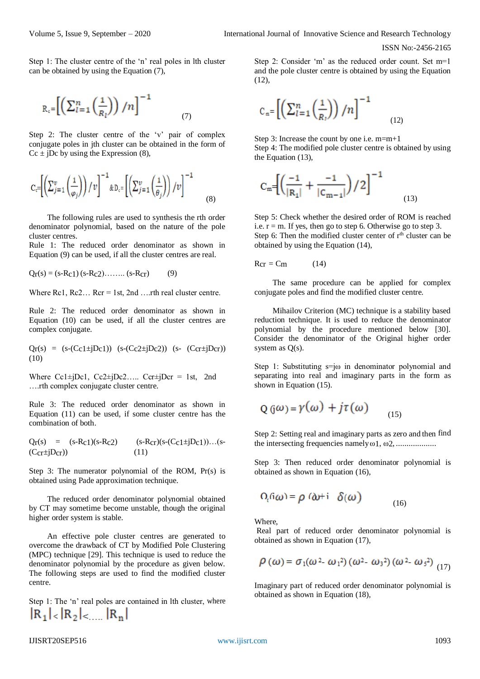(12)

Step 1: The cluster centre of the 'n' real poles in lth cluster can be obtained by using the Equation (7),

$$
R_c = \left[ \left( \sum_{l=1}^{n} \left( \frac{1}{R_l} \right) \right) / n \right]^{-1} \tag{7}
$$

Step 2: The cluster centre of the 'v' pair of complex conjugate poles in jth cluster can be obtained in the form of  $Cc \pm jDc$  by using the Expression (8),

$$
C_c = \left[ \left( \sum_{j=1}^{v} \left( \frac{1}{\varphi_j} \right) \right) / v \right]^{-1} \& D_c = \left[ \left( \sum_{j=1}^{v} \left( \frac{1}{\theta_j} \right) \right) / v \right]^{-1} \tag{8}
$$

The following rules are used to synthesis the rth order denominator polynomial, based on the nature of the pole cluster centres.

Rule 1: The reduced order denominator as shown in Equation (9) can be used, if all the cluster centres are real.

 $Q_{\rm r}(s) = (s - R_{\rm c} 1) (s - R_{\rm c} 2) \dots (s - R_{\rm cr})$  (9)

Where  $\text{Rc1}$ ,  $\text{Rc2}$ ...  $\text{Rcr} = 1$ st,  $2$ nd ....rth real cluster centre.

Rule 2: The reduced order denominator as shown in Equation (10) can be used, if all the cluster centres are complex conjugate.

$$
Q_{r}(s) = (s-(C_{c1} \pm jD_{c1})) (s-(C_{c2} \pm jD_{c2})) (s-(C_{cr} \pm jD_{cr}))
$$
  
(10)

Where  $Cc1 \pm jDc1$ ,  $Cc2 \pm jDc2$ .....  $Ccr\pm jDcr = 1st$ , 2nd ….rth complex conjugate cluster centre.

Rule 3: The reduced order denominator as shown in Equation (11) can be used, if some cluster centre has the combination of both.

 $Qr(s) = (s-Rc1)(s-Rc2)$   $(s-Rcr)(s-(Cc1+jDc1))... (s (Ccr\pm jDcr)$  (11)

Step 3: The numerator polynomial of the ROM, Pr(s) is obtained using Pade approximation technique.

The reduced order denominator polynomial obtained by CT may sometime become unstable, though the original higher order system is stable.

An effective pole cluster centres are generated to overcome the drawback of CT by Modified Pole Clustering (MPC) technique [29]. This technique is used to reduce the denominator polynomial by the procedure as given below. The following steps are used to find the modified cluster centre.

Step 1: The 'n' real poles are contained in lth cluster, where  $|R_1| < |R_2| < ... |R_n|$ 

Step 2: Consider 'm' as the reduced order count. Set m=1 and the pole cluster centre is obtained by using the Equation (12),

$$
C_m = \left[ \left( \sum_{l=1}^n \left( \frac{1}{R_l} \right) \right) / n \right]^{-1}
$$

Step 3: Increase the count by one i.e. m=m+1 Step 4: The modified pole cluster centre is obtained by using the Equation (13),

$$
C_m = \left[ \left( \frac{-1}{|R_1|} + \frac{-1}{|C_{m-1}|} \right) / 2 \right]^{-1}
$$
 (13)

Step 5: Check whether the desired order of ROM is reached i.e.  $r = m$ . If yes, then go to step 6. Otherwise go to step 3. Step 6: Then the modified cluster center of  $r<sup>th</sup>$  cluster can be obtained by using the Equation (14),

$$
Rcr = Cm \tag{14}
$$

The same procedure can be applied for complex conjugate poles and find the modified cluster centre.

Mihailov Criterion (MC) technique is a stability based reduction technique. It is used to reduce the denominator polynomial by the procedure mentioned below [30]. Consider the denominator of the Original higher order system as Q(s).

Step 1: Substituting  $s = j\omega$  in denominator polynomial and separating into real and imaginary parts in the form as shown in Equation (15).

$$
Q(\hat{j}\omega) = \gamma(\omega) + j\tau(\omega) \tag{15}
$$

Step 2: Setting real and imaginary parts as zero and then find the intersecting frequencies namelyω1, ω2, ...................

Step 3: Then reduced order denominator polynomial is obtained as shown in Equation (16),

$$
\Omega_i(\mathbf{i}\omega) = \rho \; (\mathbf{i}\omega + \mathbf{i} \; \delta(\omega) \tag{16}
$$

Where,

Real part of reduced order denominator polynomial is obtained as shown in Equation (17),

$$
\rho(\omega) = \sigma_1(\omega^2 - \omega_1^2) (\omega^2 - \omega_3^2) (\omega^2 - \omega_5^2) (17)
$$

Imaginary part of reduced order denominator polynomial is obtained as shown in Equation (18),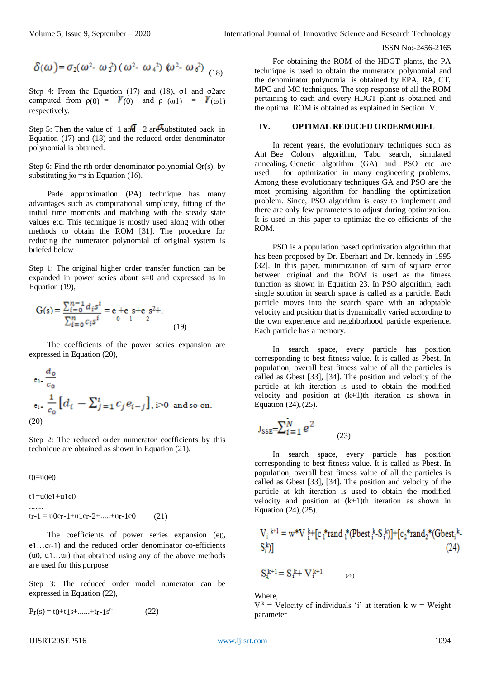$$
\delta(\omega) = \sigma_2(\omega^2 - \omega_1^2) (\omega^2 - \omega_4^2) (\omega^2 - \omega_6^2) (18)
$$

Step 4: From the Equation (17) and (18),  $\sigma$ 1 and  $\sigma$ 2are computed from  $\rho(0) = Y(0)$  and  $\rho(\omega 1) = Y(\omega 1)$ respectively.

Step 5: Then the value of 1 and 2 are substituted back in Equation (17) and (18) and the reduced order denominator polynomial is obtained.

Step 6: Find the rth order denominator polynomial  $Qr(s)$ , by substituting j $\omega$  = s in Equation (16).

Pade approximation (PA) technique has many advantages such as computational simplicity, fitting of the initial time moments and matching with the steady state values etc. This technique is mostly used along with other methods to obtain the ROM [31]. The procedure for reducing the numerator polynomial of original system is briefed below

Step 1: The original higher order transfer function can be expanded in power series about s=0 and expressed as in Equation (19),

(19)

The coefficients of the power series expansion are expressed in Equation (20),

$$
e_0 - \frac{d_0}{c_0}
$$
  
\n
$$
e_1 - \frac{1}{c_0} \left[ d_i - \sum_{j=1}^i c_j e_{i-j} \right], i > 0 \text{ and so on.}
$$
  
\n(20)

Step 2: The reduced order numerator coefficients by this technique are obtained as shown in Equation (21).

 $t() = u()e()$ 

.......

 $t1 = u0e1 + u1e0$ 

 $tr-1 = u0er-1+u1er-2+.....+ur-1e0$  (21)

The coefficients of power series expansion (e0, e1…er-1) and the reduced order denominator co-efficients (u0, u1…ur) that obtained using any of the above methods are used for this purpose.

Step 3: The reduced order model numerator can be expressed in Equation (22),

$$
P_{\Gamma}(s) = t0 + t1 s + \dots + t_{r-1} s^{r-1}
$$
 (22)

For obtaining the ROM of the HDGT plants, the PA technique is used to obtain the numerator polynomial and the denominator polynomial is obtained by EPA, RA, CT, MPC and MC techniques. The step response of all the ROM pertaining to each and every HDGT plant is obtained and the optimal ROM is obtained as explained in Section IV.

#### **IV. OPTIMAL REDUCED ORDERMODEL**

In recent years, the evolutionary techniques such as Ant Bee Colony algorithm, Tabu search, simulated annealing, Genetic algorithm (GA) and PSO etc are used for optimization in many engineering problems. Among these evolutionary techniques GA and PSO are the most promising algorithm for handling the optimization problem. Since, PSO algorithm is easy to implement and there are only few parameters to adjust during optimization. It is used in this paper to optimize the co-efficients of the ROM.

PSO is a population based optimization algorithm that has been proposed by Dr. Eberhart and Dr. kennedy in 1995 [32]. In this paper, minimization of sum of square error between original and the ROM is used as the fitness function as shown in Equation 23. In PSO algorithm, each single solution in search space is called as a particle. Each particle moves into the search space with an adoptable velocity and position that is dynamically varied according to the own experience and neighborhood particle experience. Each particle has a memory.

In search space, every particle has position corresponding to best fitness value. It is called as Pbest. In population, overall best fitness value of all the particles is called as Gbest [33], [34]. The position and velocity of the particle at kth iteration is used to obtain the modified velocity and position at  $(k+1)$ th iteration as shown in Equation (24),(25).

$$
J_{\text{SSE}} = \sum_{i=1}^{N} e^2
$$
 (23)

In search space, every particle has position corresponding to best fitness value. It is called as Pbest. In population, overall best fitness value of all the particles is called as Gbest [33], [34]. The position and velocity of the particle at kth iteration is used to obtain the modified velocity and position at  $(k+1)$ th iteration as shown in Equation (24),(25).

$$
V_i^{k+1} = w^*V_i^{k+1} [c_i^* \text{rand } i^* (\text{Pbest } i^k - S_i^k)] + [c_2^* \text{rand } i^* (\text{Gbest } i^k - S_i^k)]
$$
\n(24)

$$
S_i^{k+1} = S_i^k + V_i^{k+1}
$$
 (25)

Where,

 $V_i^k$  = Velocity of individuals 'i' at iteration k w = Weight parameter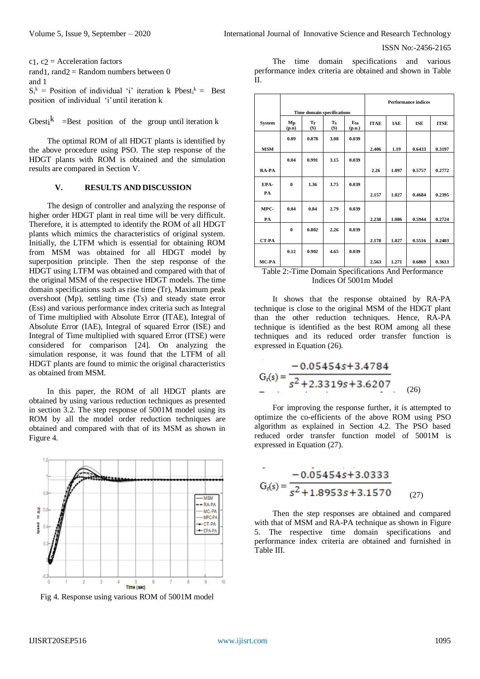```
c1, c2 = Acceleration factors
rand1, rand2 =Random numbers between 0
and 1
S_i^k = Position of individual 'i' iteration k Pbest<sub>i</sub><sup>k</sup> = Best
position of individual 'i'until iteration k
```
Gbest<sub>i</sub><sup>k</sup> =Best position of the group until iteration k

The optimal ROM of all HDGT plants is identified by the above procedure using PSO. The step response of the HDGT plants with ROM is obtained and the simulation results are compared in Section V.

#### **V. RESULTS AND DISCUSSION**

The design of controller and analyzing the response of higher order HDGT plant in real time will be very difficult. Therefore, it is attempted to identify the ROM of all HDGT plants which mimics the characteristics of original system. Initially, the LTFM which is essential for obtaining ROM from MSM was obtained for all HDGT model by superposition principle. Then the step response of the HDGT using LTFM was obtained and compared with that of the original MSM of the respective HDGT models. The time domain specifications such as rise time (Tr), Maximum peak overshoot (Mp), settling time (Ts) and steady state error (Ess) and various performance index criteria such as Integral of Time multiplied with Absolute Error (ITAE), Integral of Absolute Error (IAE), Integral of squared Error (ISE) and Integral of Time multiplied with squared Error (ITSE) were considered for comparison [24]. On analyzing the simulation response, it was found that the LTFM of all HDGT plants are found to mimic the original characteristics as obtained from MSM.

In this paper, the ROM of all HDGT plants are obtained by using various reduction techniques as presented in section 3.2. The step response of 5001M model using its ROM by all the model order reduction techniques are obtained and compared with that of its MSM as shown in Figure 4.



Fig 4. Response using various ROM of 5001M model

The time domain specifications and various performance index criteria are obtained and shown in Table  $II$ .

|               |              |                                   |                  |               |             |            | <b>Performance indices</b> |             |
|---------------|--------------|-----------------------------------|------------------|---------------|-------------|------------|----------------------------|-------------|
|               |              | <b>Time domain specifications</b> |                  |               |             |            |                            |             |
| <b>System</b> | Mp<br>(p.u)  | Tr<br>(S)                         | <b>Ts</b><br>(S) | Ess<br>(p.u.) | <b>ITAE</b> | <b>IAE</b> | <b>ISE</b>                 | <b>ITSE</b> |
|               | 0.09         | 0.878                             | 3.08             | 0.039         |             |            |                            |             |
| <b>MSM</b>    |              |                                   |                  |               | 2.406       | 1.19       | 0.6433                     | 0.3197      |
|               | 0.04         | 0.991                             | 3.15             | 0.039         |             |            |                            |             |
| RA-PA         |              |                                   |                  |               | 2.26        | 1.097      | 0.5757                     | 0.2772      |
| EPA-          | $\mathbf{0}$ | 1.36                              | 3.75             | 0.039         |             |            |                            |             |
| <b>PA</b>     |              |                                   |                  |               | 2.157       | 1.027      | 0.4684                     | 0.2395      |
| MPC-          | 0.04         | 0.84                              | 2.79             | 0.039         |             |            |                            |             |
| PA            |              |                                   |                  |               | 2.238       | 1.086      | 0.5944                     | 0.2724      |
|               | $\mathbf{0}$ | 0.802                             | 2.26             | 0.039         |             |            |                            |             |
| <b>CT-PA</b>  |              |                                   |                  |               | 2.178       | 1.027      | 0.5516                     | 0.2403      |
|               | 0.12         | 0.902                             | 4.65             | 0.039         |             |            |                            |             |
| MC-PA         |              |                                   |                  |               | 2.563       | 1.271      | 0.6869                     | 0.3613      |

Table 2:-Time Domain Specifications And Performance Indices Of 5001m Model

It shows that the response obtained by RA-PA technique is close to the original MSM of the HDGT plant than the other reduction techniques. Hence, RA-PA technique is identified as the best ROM among all these techniques and its reduced order transfer function is expressed in Equation (26).

$$
Gf(s) = \frac{-0.05454s + 3.4784}{s^2 + 2.3319s + 3.6207}
$$
 (26)

For improving the response further, it is attempted to optimize the co-efficients of the above ROM using PSO algorithm as explained in Section 4.2. The PSO based reduced order transfer function model of 5001M is expressed in Equation (27).

$$
G_{t}(s) = \frac{-0.05454s + 3.0333}{s^2 + 1.8953s + 3.1570}
$$
 (27)

Then the step responses are obtained and compared with that of MSM and RA-PA technique as shown in Figure 5. The respective time domain specifications and performance index criteria are obtained and furnished in Table III.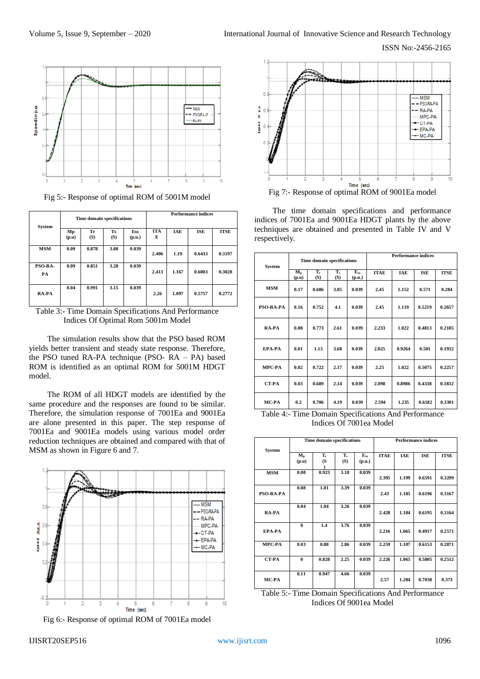

Fig 5:- Response of optimal ROM of 5001M model

| <b>System</b> |             | Time domain specifications |                  |               |                 |            | <b>Performance indices</b> |             |
|---------------|-------------|----------------------------|------------------|---------------|-----------------|------------|----------------------------|-------------|
|               | Mp<br>(p.u) | Tr<br>(S)                  | <b>Ts</b><br>(S) | Ess<br>(p.u.) | <b>ITA</b><br>E | <b>IAE</b> | <b>ISE</b>                 | <b>ITSE</b> |
| <b>MSM</b>    | 0.09        | 0.878                      | 3.08             | 0.039         | 2.406           | 1.19       | 0.6433                     | 0.3197      |
| PSO-RA-<br>PA | 0.09        | 0.851                      | 3.28             | 0.039         | 2.413           | 1.167      | 0.6003                     | 0.3028      |
| RA-PA         | 0.04        | 0.991                      | 3.15             | 0.039         | 2.26            | 1.097      | 0.5757                     | 0.2772      |

Table 3:- Time Domain Specifications And Performance Indices Of Optimal Rom 5001m Model

The simulation results show that the PSO based ROM yields better transient and steady state response. Therefore, the PSO tuned RA-PA technique (PSO- RA – PA) based ROM is identified as an optimal ROM for 5001M HDGT model.

The ROM of all HDGT models are identified by the same procedure and the responses are found to be similar. Therefore, the simulation response of 7001Ea and 9001Ea are alone presented in this paper. The step response of 7001Ea and 9001Ea models using various model order reduction techniques are obtained and compared with that of MSM as shown in Figure 6 and 7.



Fig 6:- Response of optimal ROM of 7001Ea model



Fig 7:- Response of optimal ROM of 9001Ea model

The time domain specifications and performance indices of 7001Ea and 9001Ea HDGT plants by the above techniques are obtained and presented in Table IV and V respectively.

| System           | Time domain specifications         |              |                |                    |             | <b>Performance indices</b> |            |             |
|------------------|------------------------------------|--------------|----------------|--------------------|-------------|----------------------------|------------|-------------|
|                  | $\mathbf{M}_{\mathbf{p}}$<br>(p.u) | $T_r$<br>(S) | $T_{s}$<br>(S) | $E_{ss}$<br>(p.u.) | <b>ITAE</b> | <b>TAE</b>                 | <b>ISE</b> | <b>ITSE</b> |
| <b>MSM</b>       | 0.17                               | 0.686        | 3.85           | 0.039              | 2.45        | 1.152                      | 0.571      | 0.284       |
| <b>PSO-RA-PA</b> | 0.16                               | 0.752        | 4.1            | 0.039              | 2.45        | 1.119                      | 0.5219     | 0.2657      |
| RA-PA            | 0.08                               | 0.773        | 2.61           | 0.039              | 2.233       | 1.022                      | 0.4813     | 0.2185      |
| EPA-PA           | 0.01                               | 1.13         | 3.68           | 0.039              | 2.025       | 0.9264                     | 0.501      | 0.1932      |
| <b>MPC-PA</b>    | 0.02                               | 0.722        | 2.17           | 0.039              | 2.25        | 1.022                      | 0.5075     | 0.2257      |
| <b>CT-PA</b>     | 0.03                               | 0.689        | 2.14           | 0.039              | 2.098       | 0.8986                     | 0.4338     | 0.1832      |
| MC-PA            | 0.2                                | 0.706        | 4.19           | 0.039              | 2.594       | 1.235                      | 0.6182     | 0.3301      |

Table 4:- Time Domain Specifications And Performance Indices Of 7001ea Model

|               |                                    | Time domain specifications |           |                    |             | <b>Performance indices</b> |            |             |  |
|---------------|------------------------------------|----------------------------|-----------|--------------------|-------------|----------------------------|------------|-------------|--|
| <b>System</b> | $\mathbf{M}_{\mathbf{p}}$<br>(p.u) | Tr<br>(S                   | T,<br>(S) | $E_{ss}$<br>(p.u.) | <b>ITAE</b> | IAE                        | <b>ISE</b> | <b>ITSE</b> |  |
| <b>MSM</b>    | 0.08                               | 0.923                      | 3.18      | 0.039              | 2.395       | 1.199                      | 0.6591     | 0.3299      |  |
| PSO-RA-PA     | 0.08                               | 1.01                       | 3.39      | 0.039              | 2.43        | 1.185                      | 0.6196     | 0.3167      |  |
| RA-PA         | 0.04                               | 1.04                       | 3.26      | 0.039              | 2.428       | 1.184                      | 0.6195     | 0.3164      |  |
| EPA-PA        | $\bf{0}$                           | 1.4                        | 3.76      | 0.039              | 2.216       | 1.065                      | 0.4917     | 0.2571      |  |
| MPC-PA        | 0.03                               | 0.88                       | 2.86      | 0.039              | 2.259       | 1.107                      | 0.6153     | 0.2871      |  |
| <b>CT-PA</b>  | $\bf{0}$                           | 0.828                      | 2.25      | 0.039              | 2.226       | 1.065                      | 0.5805     | 0.2512      |  |
| MC-PA         | 0.11                               | 0.947                      | 4.66      | 0.039              | 2.57        | 1.284                      | 0.7038     | 0.373       |  |

Table 5:- Time Domain Specifications And Performance Indices Of 9001ea Model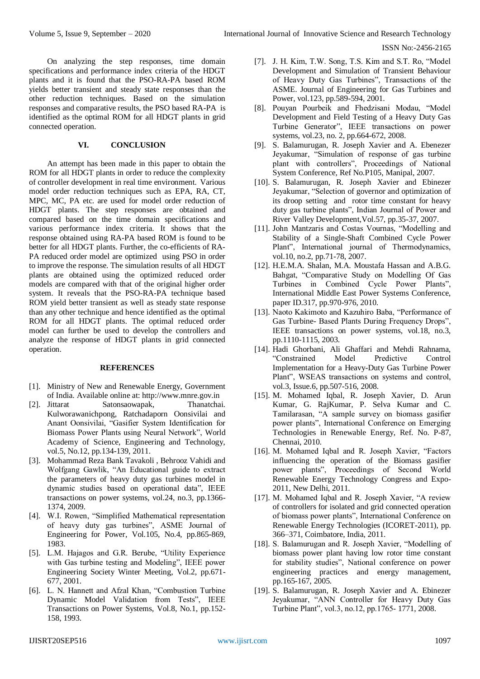On analyzing the step responses, time domain specifications and performance index criteria of the HDGT plants and it is found that the PSO-RA-PA based ROM yields better transient and steady state responses than the other reduction techniques. Based on the simulation responses and comparative results, the PSO based RA-PA is identified as the optimal ROM for all HDGT plants in grid connected operation.

# **VI. CONCLUSION**

An attempt has been made in this paper to obtain the ROM for all HDGT plants in order to reduce the complexity of controller development in real time environment. Various model order reduction techniques such as EPA, RA, CT, MPC, MC, PA etc. are used for model order reduction of HDGT plants. The step responses are obtained and compared based on the time domain specifications and various performance index criteria. It shows that the response obtained using RA-PA based ROM is found to be better for all HDGT plants. Further, the co-efficients of RA-PA reduced order model are optimized using PSO in order to improve the response. The simulation results of all HDGT plants are obtained using the optimized reduced order models are compared with that of the original higher order system. It reveals that the PSO-RA-PA technique based ROM yield better transient as well as steady state response than any other technique and hence identified as the optimal ROM for all HDGT plants. The optimal reduced order model can further be used to develop the controllers and analyze the response of HDGT plants in grid connected operation.

## **REFERENCES**

- [1]. Ministry of New and Renewable Energy, Government of India. Available online at: http://www.mnre.gov.in
- [2]. Jittarat Satonsaowapak, Thanatchai. Kulworawanichpong, Ratchadaporn Oonsivilai and Anant Oonsivilai, "Gasifier System Identification for Biomass Power Plants using Neural Network", World Academy of Science, Engineering and Technology, vol.5, No.12, pp.134-139, 2011.
- [3]. Mohammad Reza Bank Tavakoli , Behrooz Vahidi and Wolfgang Gawlik, "An Educational guide to extract the parameters of heavy duty gas turbines model in dynamic studies based on operational data", IEEE transactions on power systems, vol.24, no.3, pp.1366- 1374, 2009.
- [4]. W.I. Rowen, "Simplified Mathematical representation of heavy duty gas turbines", ASME Journal of Engineering for Power, Vol.105, No.4, pp.865-869, 1983.
- [5]. L.M. Hajagos and G.R. Berube, "Utility Experience with Gas turbine testing and Modeling", IEEE power Engineering Society Winter Meeting, Vol.2, pp.671- 677, 2001.
- [6]. L. N. Hannett and Afzal Khan, "Combustion Turbine Dynamic Model Validation from Tests", IEEE Transactions on Power Systems, Vol.8, No.1, pp.152- 158, 1993.
- [7]. J. H. Kim, T.W. Song, T.S. Kim and S.T. Ro, "Model Development and Simulation of Transient Behaviour of Heavy Duty Gas Turbines", Transactions of the ASME. Journal of Engineering for Gas Turbines and Power, vol.123, pp.589-594, 2001.
- [8]. Pouyan Pourbeik and Fhedzisani Modau, "Model Development and Field Testing of a Heavy Duty Gas Turbine Generator", IEEE transactions on power systems, vol.23, no. 2, pp.664-672, 2008.
- [9]. S. Balamurugan, R. Joseph Xavier and A. Ebenezer Jeyakumar, "Simulation of response of gas turbine plant with controllers", Proceedings of National System Conference, Ref No.P105, Manipal, 2007.
- [10]. S. Balamurugan, R. Joseph Xavier and Ebinezer Jeyakumar, "Selection of governor and optimization of its droop setting and rotor time constant for heavy duty gas turbine plants", Indian Journal of Power and River Valley Development,Vol.57, pp.35-37, 2007.
- [11]. John Mantzaris and Costas Vournas, "Modelling and Stability of a Single-Shaft Combined Cycle Power Plant", International journal of Thermodynamics, vol.10, no.2, pp.71-78, 2007.
- [12]. H.E.M.A. Shalan, M.A. Moustafa Hassan and A.B.G. Bahgat, "Comparative Study on Modelling Of Gas Turbines in Combined Cycle Power Plants", International Middle East Power Systems Conference, paper ID.317, pp.970-976, 2010.
- [13]. Naoto Kakimoto and Kazuhiro Baba, "Performance of Gas Turbine- Based Plants During Frequency Drops", IEEE transactions on power systems, vol.18, no.3, pp.1110-1115, 2003.
- [14]. Hadi Ghorbani, Ali Ghaffari and Mehdi Rahnama, "Constrained Model Predictive Control Implementation for a Heavy-Duty Gas Turbine Power Plant", WSEAS transactions on systems and control, vol.3, Issue.6, pp.507-516, 2008.
- [15]. M. Mohamed Iqbal, R. Joseph Xavier, D. Arun Kumar, G. RajKumar, P. Selva Kumar and C. Tamilarasan, "A sample survey on biomass gasifier power plants", International Conference on Emerging Technologies in Renewable Energy, Ref. No. P-87, Chennai, 2010.
- [16]. M. Mohamed Iqbal and R. Joseph Xavier, "Factors influencing the operation of the Biomass gasifier power plants", Proceedings of Second World Renewable Energy Technology Congress and Expo-2011, New Delhi, 2011.
- [17]. M. Mohamed Iqbal and R. Joseph Xavier, "A review of controllers for isolated and grid connected operation of biomass power plants", International Conference on Renewable Energy Technologies (ICORET-2011), pp. 366–371, Coimbatore, India, 2011.
- [18]. S. Balamurugan and R. Joseph Xavier, "Modelling of biomass power plant having low rotor time constant for stability studies", National conference on power engineering practices and energy management, pp.165-167, 2005.
- [19]. S. Balamurugan, R. Joseph Xavier and A. Ebinezer Jeyakumar, "ANN Controller for Heavy Duty Gas Turbine Plant", vol.3, no.12, pp.1765- 1771, 2008.